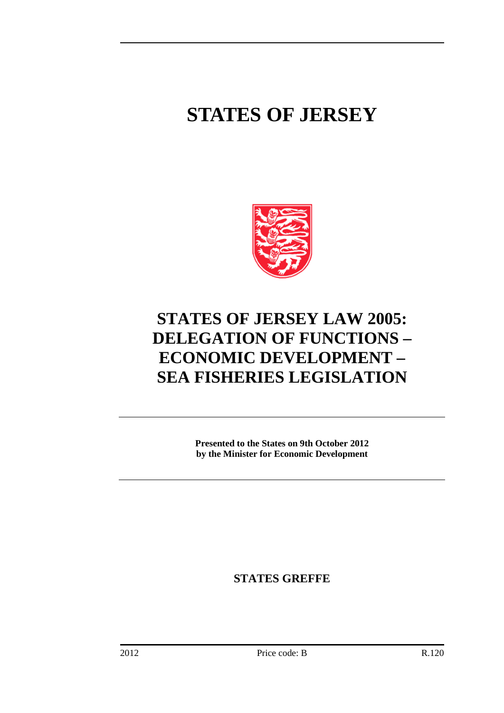## **STATES OF JERSEY**



## **STATES OF JERSEY LAW 2005: DELEGATION OF FUNCTIONS – ECONOMIC DEVELOPMENT – SEA FISHERIES LEGISLATION**

**Presented to the States on 9th October 2012 by the Minister for Economic Development**

**STATES GREFFE**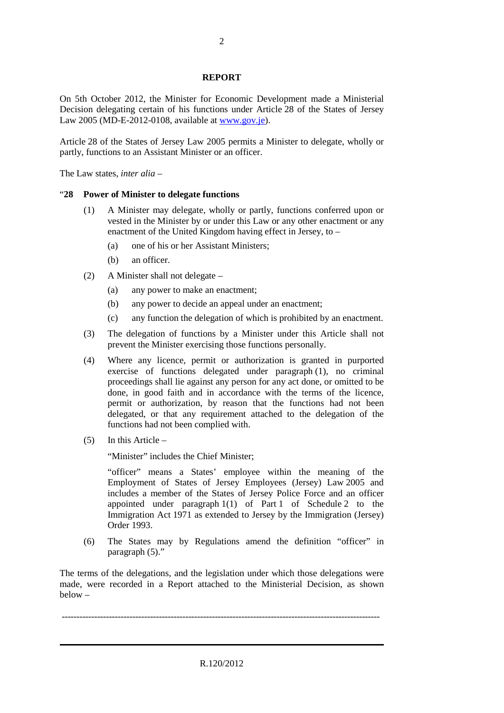## **REPORT**

On 5th October 2012, the Minister for Economic Development made a Ministerial Decision delegating certain of his functions under Article 28 of the States of Jersey Law 2005 (MD-E-2012-0108, available at [www.gov.je\)](http://www.gov.je/).

Article 28 of the States of Jersey Law 2005 permits a Minister to delegate, wholly or partly, functions to an Assistant Minister or an officer.

The Law states, *inter alia* –

## "**28 Power of Minister to delegate functions**

- (1) A Minister may delegate, wholly or partly, functions conferred upon or vested in the Minister by or under this Law or any other enactment or any enactment of the United Kingdom having effect in Jersey, to –
	- (a) one of his or her Assistant Ministers;
	- (b) an officer.
- (2) A Minister shall not delegate
	- (a) any power to make an enactment;
	- (b) any power to decide an appeal under an enactment;
	- (c) any function the delegation of which is prohibited by an enactment.
- (3) The delegation of functions by a Minister under this Article shall not prevent the Minister exercising those functions personally.
- (4) Where any licence, permit or authorization is granted in purported exercise of functions delegated under paragraph (1), no criminal proceedings shall lie against any person for any act done, or omitted to be done, in good faith and in accordance with the terms of the licence, permit or authorization, by reason that the functions had not been delegated, or that any requirement attached to the delegation of the functions had not been complied with.
- (5) In this Article –

"Minister" includes the Chief Minister;

"officer" means a States' employee within the meaning of the Employment of States of Jersey Employees (Jersey) Law 2005 and includes a member of the States of Jersey Police Force and an officer appointed under paragraph 1(1) of Part 1 of Schedule 2 to the Immigration Act 1971 as extended to Jersey by the Immigration (Jersey) Order 1993.

(6) The States may by Regulations amend the definition "officer" in paragraph (5)."

The terms of the delegations, and the legislation under which those delegations were made, were recorded in a Report attached to the Ministerial Decision, as shown below –

------------------------------------------------------------------------------------------------------------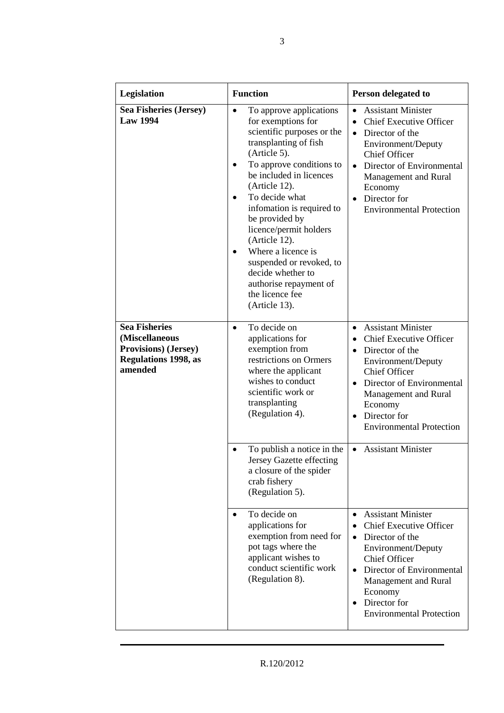| Legislation                                                                                                      | <b>Function</b>                                                                                                                                                                                                                                                                                                                                                                                                                                                                      | Person delegated to                                                                                                                                                                                                                                                                                              |
|------------------------------------------------------------------------------------------------------------------|--------------------------------------------------------------------------------------------------------------------------------------------------------------------------------------------------------------------------------------------------------------------------------------------------------------------------------------------------------------------------------------------------------------------------------------------------------------------------------------|------------------------------------------------------------------------------------------------------------------------------------------------------------------------------------------------------------------------------------------------------------------------------------------------------------------|
| <b>Sea Fisheries (Jersey)</b><br><b>Law 1994</b>                                                                 | To approve applications<br>$\bullet$<br>for exemptions for<br>scientific purposes or the<br>transplanting of fish<br>(Article 5).<br>To approve conditions to<br>be included in licences<br>(Article 12).<br>To decide what<br>$\bullet$<br>infomation is required to<br>be provided by<br>licence/permit holders<br>(Article 12).<br>Where a licence is<br>$\bullet$<br>suspended or revoked, to<br>decide whether to<br>authorise repayment of<br>the licence fee<br>(Article 13). | <b>Assistant Minister</b><br>$\bullet$<br><b>Chief Executive Officer</b><br>$\bullet$<br>Director of the<br>$\bullet$<br>Environment/Deputy<br><b>Chief Officer</b><br>Director of Environmental<br>$\bullet$<br>Management and Rural<br>Economy<br>Director for<br>$\bullet$<br><b>Environmental Protection</b> |
| <b>Sea Fisheries</b><br>(Miscellaneous<br><b>Provisions</b> ) (Jersey)<br><b>Regulations 1998, as</b><br>amended | To decide on<br>$\bullet$<br>applications for<br>exemption from<br>restrictions on Ormers<br>where the applicant<br>wishes to conduct<br>scientific work or<br>transplanting<br>(Regulation 4).                                                                                                                                                                                                                                                                                      | <b>Assistant Minister</b><br>$\bullet$<br><b>Chief Executive Officer</b><br>$\bullet$<br>Director of the<br>$\bullet$<br>Environment/Deputy<br><b>Chief Officer</b><br>Director of Environmental<br>$\bullet$<br>Management and Rural<br>Economy<br>Director for<br>$\bullet$<br><b>Environmental Protection</b> |
|                                                                                                                  | To publish a notice in the<br>Jersey Gazette effecting<br>a closure of the spider<br>crab fishery<br>(Regulation 5).                                                                                                                                                                                                                                                                                                                                                                 | <b>Assistant Minister</b><br>$\bullet$                                                                                                                                                                                                                                                                           |
|                                                                                                                  | To decide on<br>$\bullet$<br>applications for<br>exemption from need for<br>pot tags where the<br>applicant wishes to<br>conduct scientific work<br>(Regulation 8).                                                                                                                                                                                                                                                                                                                  | <b>Assistant Minister</b><br>$\bullet$<br><b>Chief Executive Officer</b><br>$\bullet$<br>Director of the<br>$\bullet$<br>Environment/Deputy<br><b>Chief Officer</b><br>Director of Environmental<br>$\bullet$<br>Management and Rural<br>Economy<br>Director for<br>$\bullet$<br><b>Environmental Protection</b> |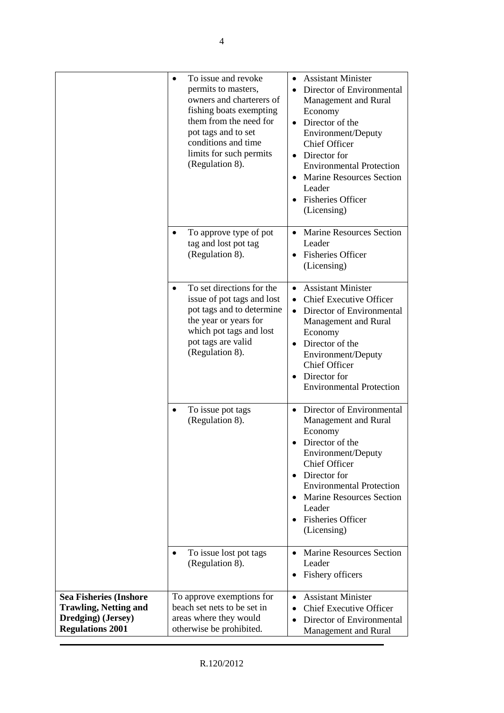|                                                                                                                | To issue and revoke<br>$\bullet$<br>permits to masters,<br>owners and charterers of<br>fishing boats exempting<br>them from the need for<br>pot tags and to set<br>conditions and time<br>limits for such permits<br>(Regulation 8). | <b>Assistant Minister</b><br>$\bullet$<br>Director of Environmental<br>Management and Rural<br>Economy<br>Director of the<br>$\bullet$<br>Environment/Deputy<br>Chief Officer<br>Director for<br><b>Environmental Protection</b><br><b>Marine Resources Section</b><br>Leader<br><b>Fisheries Officer</b><br>(Licensing) |
|----------------------------------------------------------------------------------------------------------------|--------------------------------------------------------------------------------------------------------------------------------------------------------------------------------------------------------------------------------------|--------------------------------------------------------------------------------------------------------------------------------------------------------------------------------------------------------------------------------------------------------------------------------------------------------------------------|
|                                                                                                                | To approve type of pot<br>tag and lost pot tag<br>(Regulation 8).                                                                                                                                                                    | <b>Marine Resources Section</b><br>Leader<br><b>Fisheries Officer</b><br>$\bullet$<br>(Licensing)                                                                                                                                                                                                                        |
|                                                                                                                | To set directions for the<br>issue of pot tags and lost<br>pot tags and to determine<br>the year or years for<br>which pot tags and lost<br>pot tags are valid<br>(Regulation 8).                                                    | <b>Assistant Minister</b><br><b>Chief Executive Officer</b><br>Director of Environmental<br>$\bullet$<br>Management and Rural<br>Economy<br>Director of the<br>Environment/Deputy<br><b>Chief Officer</b><br>Director for<br><b>Environmental Protection</b>                                                             |
|                                                                                                                | To issue pot tags<br>(Regulation 8).                                                                                                                                                                                                 | Director of Environmental<br>Management and Rural<br>Economy<br>Director of the<br>Environment/Deputy<br><b>Chief Officer</b><br>Director for<br><b>Environmental Protection</b><br><b>Marine Resources Section</b><br>Leader<br><b>Fisheries Officer</b><br>$\bullet$<br>(Licensing)                                    |
|                                                                                                                | To issue lost pot tags<br>(Regulation 8).                                                                                                                                                                                            | <b>Marine Resources Section</b><br>Leader<br>Fishery officers<br>٠                                                                                                                                                                                                                                                       |
| <b>Sea Fisheries (Inshore</b><br><b>Trawling, Netting and</b><br>Dredging) (Jersey)<br><b>Regulations 2001</b> | To approve exemptions for<br>beach set nets to be set in<br>areas where they would<br>otherwise be prohibited.                                                                                                                       | <b>Assistant Minister</b><br>$\bullet$<br><b>Chief Executive Officer</b><br>Director of Environmental<br>Management and Rural                                                                                                                                                                                            |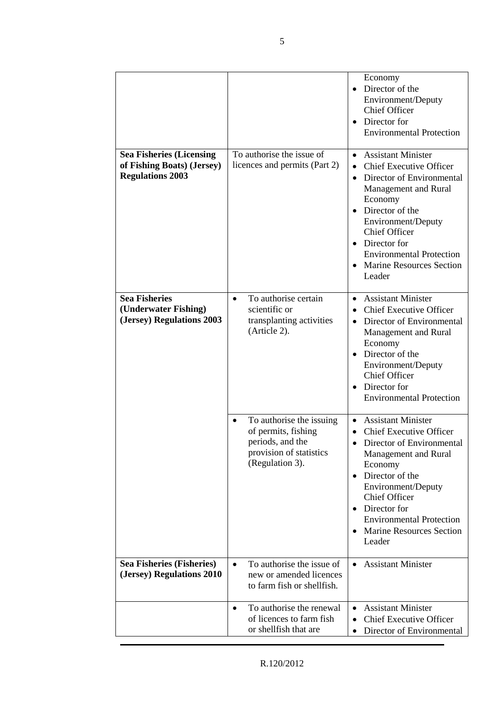|                                                                                          |                                                                                                                   | Economy<br>Director of the<br>Environment/Deputy<br><b>Chief Officer</b><br>Director for<br>$\bullet$<br><b>Environmental Protection</b>                                                                                                                                                                               |
|------------------------------------------------------------------------------------------|-------------------------------------------------------------------------------------------------------------------|------------------------------------------------------------------------------------------------------------------------------------------------------------------------------------------------------------------------------------------------------------------------------------------------------------------------|
| <b>Sea Fisheries (Licensing</b><br>of Fishing Boats) (Jersey)<br><b>Regulations 2003</b> | To authorise the issue of<br>licences and permits (Part 2)                                                        | <b>Assistant Minister</b><br>$\bullet$<br><b>Chief Executive Officer</b><br>Director of Environmental<br>$\bullet$<br>Management and Rural<br>Economy<br>Director of the<br>Environment/Deputy<br><b>Chief Officer</b><br>Director for<br><b>Environmental Protection</b><br><b>Marine Resources Section</b><br>Leader |
| <b>Sea Fisheries</b><br>(Underwater Fishing)<br>(Jersey) Regulations 2003                | To authorise certain<br>$\bullet$<br>scientific or<br>transplanting activities<br>(Article 2).                    | <b>Assistant Minister</b><br><b>Chief Executive Officer</b><br>Director of Environmental<br>Management and Rural<br>Economy<br>Director of the<br>Environment/Deputy<br><b>Chief Officer</b><br>Director for<br>$\bullet$<br><b>Environmental Protection</b>                                                           |
|                                                                                          | To authorise the issuing<br>of permits, fishing<br>periods, and the<br>provision of statistics<br>(Regulation 3). | <b>Assistant Minister</b><br><b>Chief Executive Officer</b><br>Director of Environmental<br>Management and Rural<br>Economy<br>Director of the<br>$\bullet$<br>Environment/Deputy<br>Chief Officer<br>Director for<br><b>Environmental Protection</b><br><b>Marine Resources Section</b><br>Leader                     |
| <b>Sea Fisheries (Fisheries)</b><br>(Jersey) Regulations 2010                            | To authorise the issue of<br>$\bullet$<br>new or amended licences<br>to farm fish or shellfish.                   | <b>Assistant Minister</b>                                                                                                                                                                                                                                                                                              |
|                                                                                          | To authorise the renewal<br>$\bullet$<br>of licences to farm fish<br>or shellfish that are                        | <b>Assistant Minister</b><br>$\bullet$<br><b>Chief Executive Officer</b><br>Director of Environmental                                                                                                                                                                                                                  |